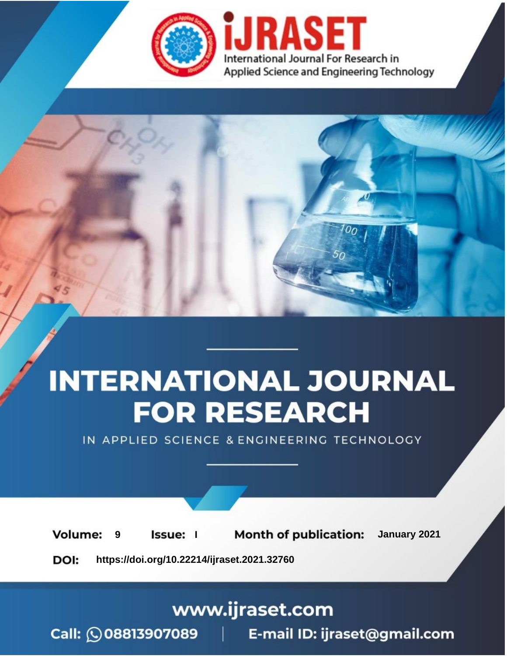



IN APPLIED SCIENCE & ENGINEERING TECHNOLOGY

**Month of publication: Volume:** January 2021 **Issue:** I 9

DOI: https://doi.org/10.22214/ijraset.2021.32760

www.ijraset.com

Call: 008813907089 | E-mail ID: ijraset@gmail.com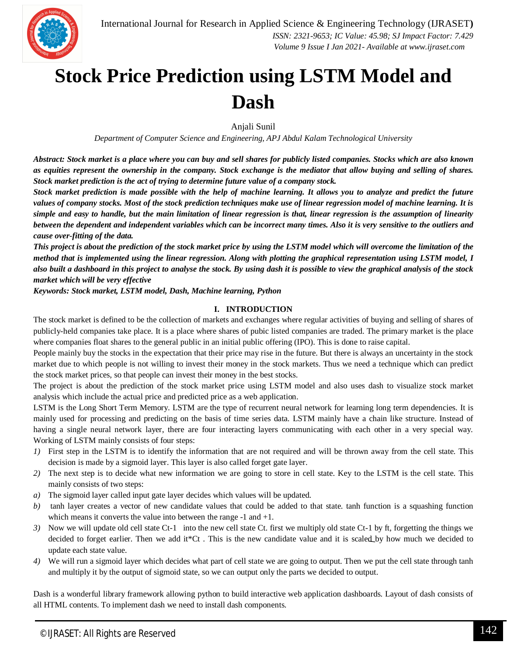

# **Stock Price Prediction using LSTM Model and Dash**

Anjali Sunil

*Department of Computer Science and Engineering, APJ Abdul Kalam Technological University*

*Abstract: Stock market is a place where you can buy and sell shares for publicly listed companies. Stocks which are also known as equities represent the ownership in the company. Stock exchange is the mediator that allow buying and selling of shares. Stock market prediction is the act of trying to determine future value of a company stock.*

*Stock market prediction is made possible with the help of machine learning. It allows you to analyze and predict the future values of company stocks. Most of the stock prediction techniques make use of linear regression model of machine learning. It is simple and easy to handle, but the main limitation of linear regression is that, linear regression is the assumption of linearity between the dependent and independent variables which can be incorrect many times. Also it is very sensitive to the outliers and cause over-fitting of the data.*

*This project is about the prediction of the stock market price by using the LSTM model which will overcome the limitation of the method that is implemented using the linear regression. Along with plotting the graphical representation using LSTM model, I also built a dashboard in this project to analyse the stock. By using dash it is possible to view the graphical analysis of the stock market which will be very effective*

*Keywords: Stock market, LSTM model, Dash, Machine learning, Python*

#### **I. INTRODUCTION**

The stock market is defined to be the collection of markets and exchanges where regular activities of buying and selling of shares of publicly-held companies take place. It is a place where shares of pubic listed companies are traded. The primary market is the place where companies float shares to the general public in an initial public offering (IPO). This is done to raise capital.

People mainly buy the stocks in the expectation that their price may rise in the future. But there is always an uncertainty in the stock market due to which people is not willing to invest their money in the stock markets. Thus we need a technique which can predict the stock market prices, so that people can invest their money in the best stocks.

The project is about the prediction of the stock market price using LSTM model and also uses dash to visualize stock market analysis which include the actual price and predicted price as a web application.

LSTM is the Long Short Term Memory. LSTM are the type of recurrent neural network for learning long term dependencies. It is mainly used for processing and predicting on the basis of time series data. LSTM mainly have a chain like structure. Instead of having a single neural network layer, there are four interacting layers communicating with each other in a very special way. Working of LSTM mainly consists of four steps:

- *1)* First step in the LSTM is to identify the information that are not required and will be thrown away from the cell state. This decision is made by a sigmoid layer. This layer is also called forget gate layer.
- *2)* The next step is to decide what new information we are going to store in cell state. Key to the LSTM is the cell state. This mainly consists of two steps:
- *a)* The sigmoid layer called input gate layer decides which values will be updated.
- *b)* tanh layer creates a vector of new candidate values that could be added to that state. tanh function is a squashing function which means it converts the value into between the range -1 and +1.
- *3*) Now we will update old cell state Ct-1 into the new cell state Ct. first we multiply old state Ct-1 by ft, forgetting the things we decided to forget earlier. Then we add it<sup>\*</sup>Ct. This is the new candidate value and it is scaled by how much we decided to update each state value.
- *4)* We will run a sigmoid layer which decides what part of cell state we are going to output. Then we put the cell state through tanh and multiply it by the output of sigmoid state, so we can output only the parts we decided to output.

Dash is a wonderful library framework allowing python to build interactive web application dashboards. Layout of dash consists of all HTML contents. To implement dash we need to install dash components.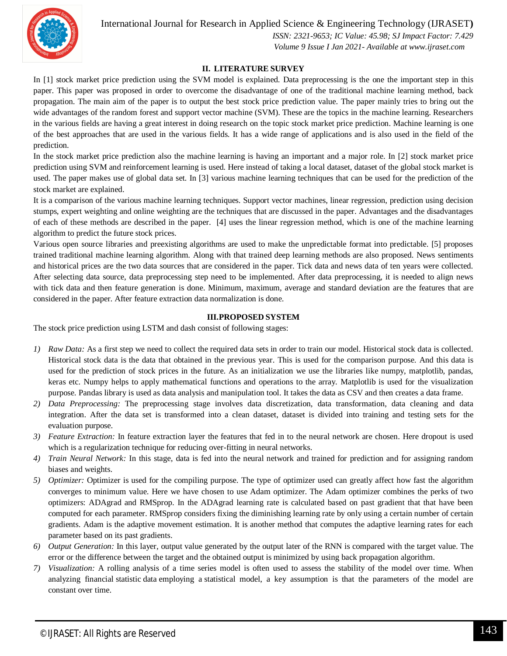International Journal for Research in Applied Science & Engineering Technology (IJRASET**)**



 *ISSN: 2321-9653; IC Value: 45.98; SJ Impact Factor: 7.429 Volume 9 Issue I Jan 2021- Available at www.ijraset.com*

### **II. LITERATURE SURVEY**

In [1] stock market price prediction using the SVM model is explained. Data preprocessing is the one the important step in this paper. This paper was proposed in order to overcome the disadvantage of one of the traditional machine learning method, back propagation. The main aim of the paper is to output the best stock price prediction value. The paper mainly tries to bring out the wide advantages of the random forest and support vector machine (SVM). These are the topics in the machine learning. Researchers in the various fields are having a great interest in doing research on the topic stock market price prediction. Machine learning is one of the best approaches that are used in the various fields. It has a wide range of applications and is also used in the field of the prediction.

In the stock market price prediction also the machine learning is having an important and a major role. In [2] stock market price prediction using SVM and reinforcement learning is used. Here instead of taking a local dataset, dataset of the global stock market is used. The paper makes use of global data set. In [3] various machine learning techniques that can be used for the prediction of the stock market are explained.

It is a comparison of the various machine learning techniques. Support vector machines, linear regression, prediction using decision stumps, expert weighting and online weighting are the techniques that are discussed in the paper. Advantages and the disadvantages of each of these methods are described in the paper. [4] uses the linear regression method, which is one of the machine learning algorithm to predict the future stock prices.

Various open source libraries and preexisting algorithms are used to make the unpredictable format into predictable. [5] proposes trained traditional machine learning algorithm. Along with that trained deep learning methods are also proposed. News sentiments and historical prices are the two data sources that are considered in the paper. Tick data and news data of ten years were collected. After selecting data source, data preprocessing step need to be implemented. After data preprocessing, it is needed to align news with tick data and then feature generation is done. Minimum, maximum, average and standard deviation are the features that are considered in the paper. After feature extraction data normalization is done.

#### **III.PROPOSED SYSTEM**

The stock price prediction using LSTM and dash consist of following stages:

- *1) Raw Data:* As a first step we need to collect the required data sets in order to train our model. Historical stock data is collected. Historical stock data is the data that obtained in the previous year. This is used for the comparison purpose. And this data is used for the prediction of stock prices in the future. As an initialization we use the libraries like numpy, matplotlib, pandas, keras etc. Numpy helps to apply mathematical functions and operations to the array. Matplotlib is used for the visualization purpose. Pandas library is used as data analysis and manipulation tool. It takes the data as CSV and then creates a data frame.
- *2) Data Preprocessing:* The preprocessing stage involves data discretization, data transformation, data cleaning and data integration. After the data set is transformed into a clean dataset, dataset is divided into training and testing sets for the evaluation purpose.
- *3) Feature Extraction:* In feature extraction layer the features that fed in to the neural network are chosen. Here dropout is used which is a regularization technique for reducing over-fitting in neural networks.
- *4) Train Neural Network:* In this stage, data is fed into the neural network and trained for prediction and for assigning random biases and weights.
- *5) Optimizer:* Optimizer is used for the compiling purpose. The type of optimizer used can greatly affect how fast the algorithm converges to minimum value. Here we have chosen to use Adam optimizer. The Adam optimizer combines the perks of two optimizers: ADAgrad and RMSprop. In the ADAgrad learning rate is calculated based on past gradient that that have been computed for each parameter. RMSprop considers fixing the diminishing learning rate by only using a certain number of certain gradients. Adam is the adaptive movement estimation. It is another method that computes the adaptive learning rates for each parameter based on its past gradients.
- *6) Output Generation:* In this layer, output value generated by the output later of the RNN is compared with the target value. The error or the difference between the target and the obtained output is minimized by using back propagation algorithm.
- *7) Visualization:* A rolling analysis of a time series model is often used to assess the stability of the model over time. When analyzing financial statistic data employing a statistical model, a key assumption is that the parameters of the model are constant over time.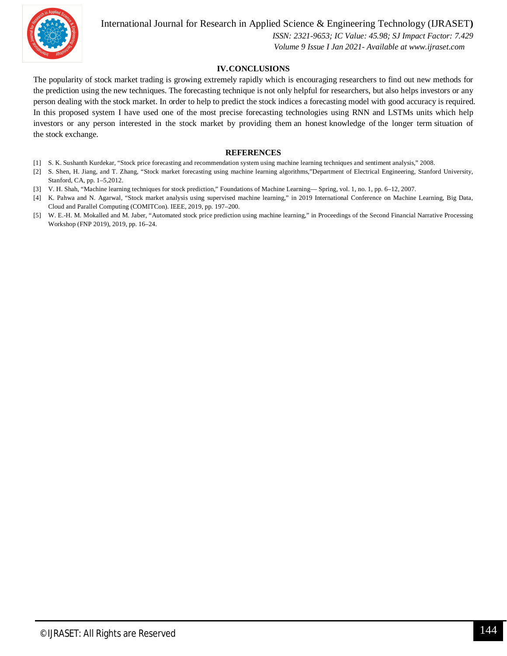

International Journal for Research in Applied Science & Engineering Technology (IJRASET**)**

 *ISSN: 2321-9653; IC Value: 45.98; SJ Impact Factor: 7.429 Volume 9 Issue I Jan 2021- Available at www.ijraset.com*

## **IV.CONCLUSIONS**

The popularity of stock market trading is growing extremely rapidly which is encouraging researchers to find out new methods for the prediction using the new techniques. The forecasting technique is not only helpful for researchers, but also helps investors or any person dealing with the stock market. In order to help to predict the stock indices a forecasting model with good accuracy is required. In this proposed system I have used one of the most precise forecasting technologies using RNN and LSTMs units which help investors or any person interested in the stock market by providing them an honest knowledge of the longer term situation of the stock exchange.

#### **REFERENCES**

- [1] S. K. Sushanth Kurdekar, "Stock price forecasting and recommendation system using machine learning techniques and sentiment analysis," 2008.
- [2] S. Shen, H. Jiang, and T. Zhang, "Stock market forecasting using machine learning algorithms,"Department of Electrical Engineering, Stanford University, Stanford, CA, pp. 1–5,2012.
- [3] V. H. Shah, "Machine learning techniques for stock prediction," Foundations of Machine Learning— Spring, vol. 1, no. 1, pp. 6–12, 2007.
- [4] K. Pahwa and N. Agarwal, "Stock market analysis using supervised machine learning," in 2019 International Conference on Machine Learning, Big Data, Cloud and Parallel Computing (COMITCon). IEEE, 2019, pp. 197–200.
- [5] W. E.-H. M. Mokalled and M. Jaber, "Automated stock price prediction using machine learning," in Proceedings of the Second Financial Narrative Processing Workshop (FNP 2019), 2019, pp. 16–24.